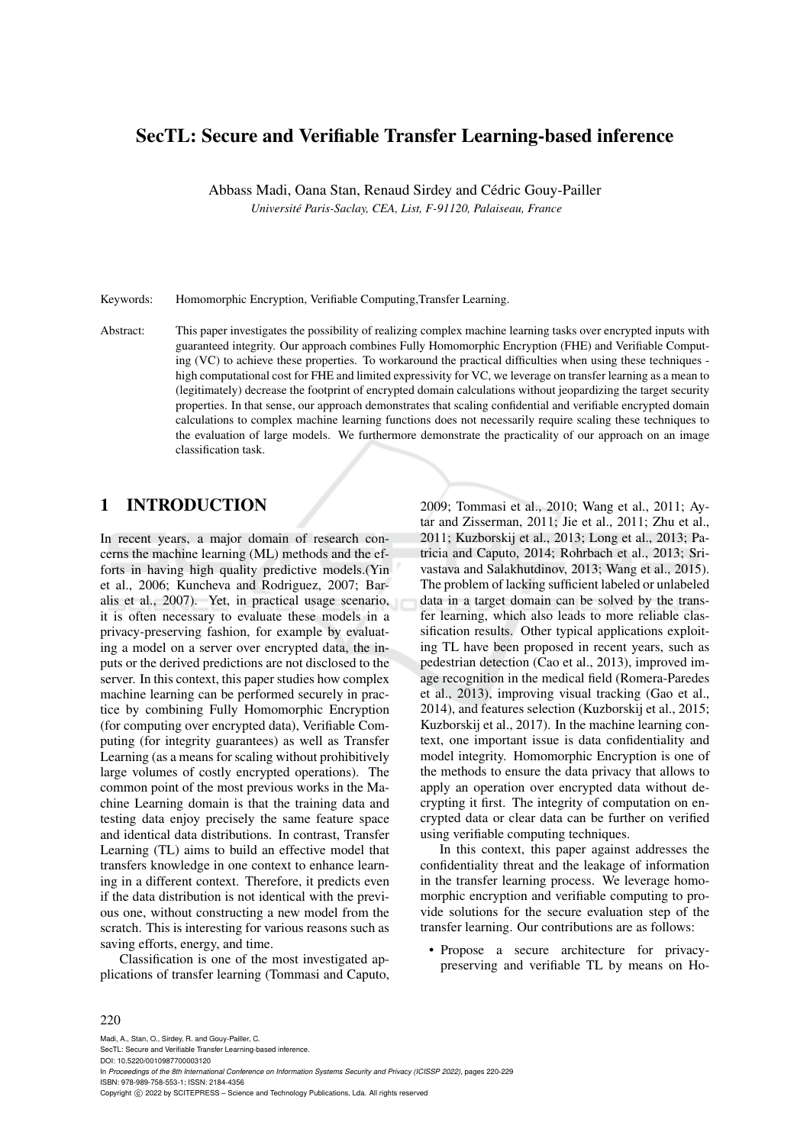# SecTL: Secure and Verifiable Transfer Learning-based inference

Abbass Madi, Oana Stan, Renaud Sirdey and Cédric Gouy-Pailler *Universite Paris-Saclay, CEA, List, F-91120, Palaiseau, France ´*

Keywords: Homomorphic Encryption, Verifiable Computing,Transfer Learning.

Abstract: This paper investigates the possibility of realizing complex machine learning tasks over encrypted inputs with guaranteed integrity. Our approach combines Fully Homomorphic Encryption (FHE) and Verifiable Computing (VC) to achieve these properties. To workaround the practical difficulties when using these techniques high computational cost for FHE and limited expressivity for VC, we leverage on transfer learning as a mean to (legitimately) decrease the footprint of encrypted domain calculations without jeopardizing the target security properties. In that sense, our approach demonstrates that scaling confidential and verifiable encrypted domain calculations to complex machine learning functions does not necessarily require scaling these techniques to the evaluation of large models. We furthermore demonstrate the practicality of our approach on an image classification task.

# 1 INTRODUCTION

In recent years, a major domain of research concerns the machine learning (ML) methods and the efforts in having high quality predictive models.(Yin et al., 2006; Kuncheva and Rodriguez, 2007; Baralis et al., 2007). Yet, in practical usage scenario, it is often necessary to evaluate these models in a privacy-preserving fashion, for example by evaluating a model on a server over encrypted data, the inputs or the derived predictions are not disclosed to the server. In this context, this paper studies how complex machine learning can be performed securely in practice by combining Fully Homomorphic Encryption (for computing over encrypted data), Verifiable Computing (for integrity guarantees) as well as Transfer Learning (as a means for scaling without prohibitively large volumes of costly encrypted operations). The common point of the most previous works in the Machine Learning domain is that the training data and testing data enjoy precisely the same feature space and identical data distributions. In contrast, Transfer Learning (TL) aims to build an effective model that transfers knowledge in one context to enhance learning in a different context. Therefore, it predicts even if the data distribution is not identical with the previous one, without constructing a new model from the scratch. This is interesting for various reasons such as saving efforts, energy, and time.

Classification is one of the most investigated applications of transfer learning (Tommasi and Caputo, 2009; Tommasi et al., 2010; Wang et al., 2011; Aytar and Zisserman, 2011; Jie et al., 2011; Zhu et al., 2011; Kuzborskij et al., 2013; Long et al., 2013; Patricia and Caputo, 2014; Rohrbach et al., 2013; Srivastava and Salakhutdinov, 2013; Wang et al., 2015). The problem of lacking sufficient labeled or unlabeled data in a target domain can be solved by the transfer learning, which also leads to more reliable classification results. Other typical applications exploiting TL have been proposed in recent years, such as pedestrian detection (Cao et al., 2013), improved image recognition in the medical field (Romera-Paredes et al., 2013), improving visual tracking (Gao et al., 2014), and features selection (Kuzborskij et al., 2015; Kuzborskij et al., 2017). In the machine learning context, one important issue is data confidentiality and model integrity. Homomorphic Encryption is one of the methods to ensure the data privacy that allows to apply an operation over encrypted data without decrypting it first. The integrity of computation on encrypted data or clear data can be further on verified using verifiable computing techniques.

In this context, this paper against addresses the confidentiality threat and the leakage of information in the transfer learning process. We leverage homomorphic encryption and verifiable computing to provide solutions for the secure evaluation step of the transfer learning. Our contributions are as follows:

• Propose a secure architecture for privacypreserving and verifiable TL by means on Ho-

#### 220

Madi, A., Stan, O., Sirdey, R. and Gouy-Pailler, C. SecTL: Secure and Verifiable Transfer Learning-based inference. DOI: 10.5220/0010987700003120 In *Proceedings of the 8th International Conference on Information Systems Security and Privacy (ICISSP 2022)*, pages 220-229 ISBN: 978-989-758-553-1; ISSN: 2184-4356 Copyright (C) 2022 by SCITEPRESS - Science and Technology Publications, Lda. All rights reserved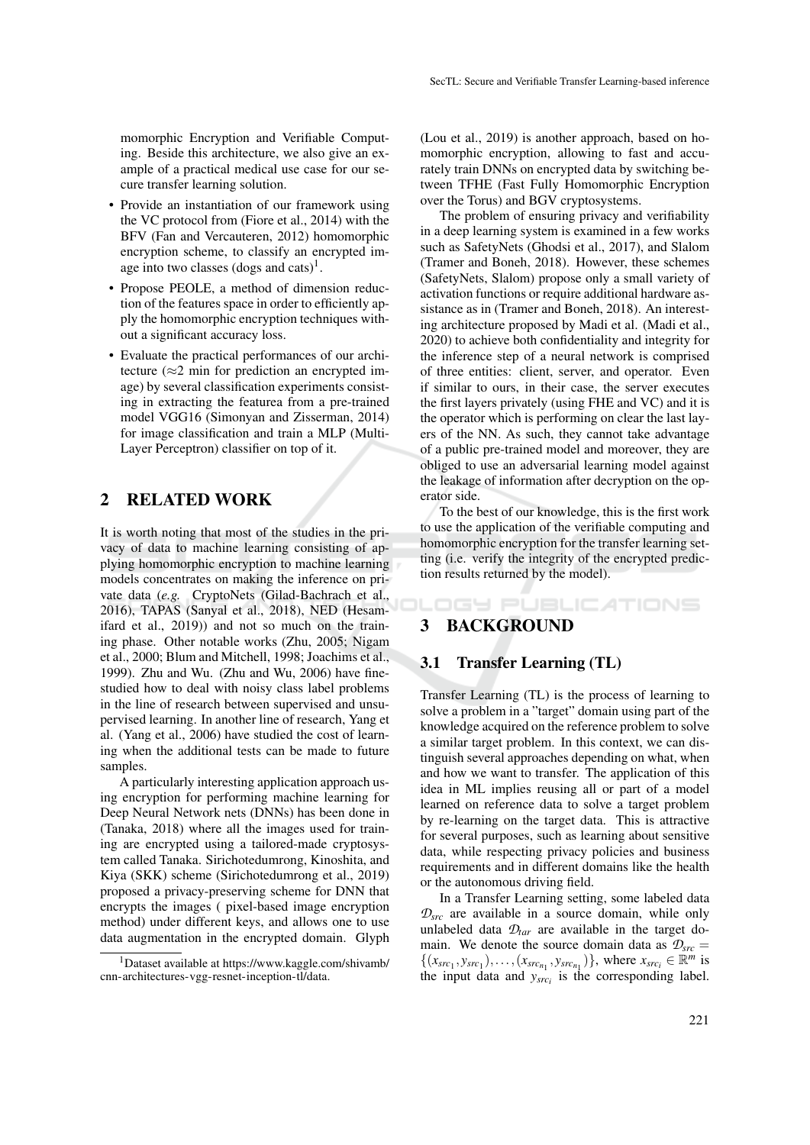momorphic Encryption and Verifiable Computing. Beside this architecture, we also give an example of a practical medical use case for our secure transfer learning solution.

- Provide an instantiation of our framework using the VC protocol from (Fiore et al., 2014) with the BFV (Fan and Vercauteren, 2012) homomorphic encryption scheme, to classify an encrypted image into two classes  $(dogs$  and cats)<sup>1</sup>.
- Propose PEOLE, a method of dimension reduction of the features space in order to efficiently apply the homomorphic encryption techniques without a significant accuracy loss.
- Evaluate the practical performances of our architecture ( $\approx$ 2 min for prediction an encrypted image) by several classification experiments consisting in extracting the featurea from a pre-trained model VGG16 (Simonyan and Zisserman, 2014) for image classification and train a MLP (Multi-Layer Perceptron) classifier on top of it.

## 2 RELATED WORK

It is worth noting that most of the studies in the privacy of data to machine learning consisting of applying homomorphic encryption to machine learning models concentrates on making the inference on private data (*e.g.* CryptoNets (Gilad-Bachrach et al., 2016), TAPAS (Sanyal et al., 2018), NED (Hesamifard et al., 2019)) and not so much on the training phase. Other notable works (Zhu, 2005; Nigam et al., 2000; Blum and Mitchell, 1998; Joachims et al., 1999). Zhu and Wu. (Zhu and Wu, 2006) have finestudied how to deal with noisy class label problems in the line of research between supervised and unsupervised learning. In another line of research, Yang et al. (Yang et al., 2006) have studied the cost of learning when the additional tests can be made to future samples.

A particularly interesting application approach using encryption for performing machine learning for Deep Neural Network nets (DNNs) has been done in (Tanaka, 2018) where all the images used for training are encrypted using a tailored-made cryptosystem called Tanaka. Sirichotedumrong, Kinoshita, and Kiya (SKK) scheme (Sirichotedumrong et al., 2019) proposed a privacy-preserving scheme for DNN that encrypts the images ( pixel-based image encryption method) under different keys, and allows one to use data augmentation in the encrypted domain. Glyph

(Lou et al., 2019) is another approach, based on homomorphic encryption, allowing to fast and accurately train DNNs on encrypted data by switching between TFHE (Fast Fully Homomorphic Encryption over the Torus) and BGV cryptosystems.

The problem of ensuring privacy and verifiability in a deep learning system is examined in a few works such as SafetyNets (Ghodsi et al., 2017), and Slalom (Tramer and Boneh, 2018). However, these schemes (SafetyNets, Slalom) propose only a small variety of activation functions or require additional hardware assistance as in (Tramer and Boneh, 2018). An interesting architecture proposed by Madi et al. (Madi et al., 2020) to achieve both confidentiality and integrity for the inference step of a neural network is comprised of three entities: client, server, and operator. Even if similar to ours, in their case, the server executes the first layers privately (using FHE and VC) and it is the operator which is performing on clear the last layers of the NN. As such, they cannot take advantage of a public pre-trained model and moreover, they are obliged to use an adversarial learning model against the leakage of information after decryption on the operator side.

To the best of our knowledge, this is the first work to use the application of the verifiable computing and homomorphic encryption for the transfer learning setting (i.e. verify the integrity of the encrypted prediction results returned by the model).

DGY PUBLICATIONS 3 BACKGROUND

## 3.1 Transfer Learning (TL)

Transfer Learning (TL) is the process of learning to solve a problem in a "target" domain using part of the knowledge acquired on the reference problem to solve a similar target problem. In this context, we can distinguish several approaches depending on what, when and how we want to transfer. The application of this idea in ML implies reusing all or part of a model learned on reference data to solve a target problem by re-learning on the target data. This is attractive for several purposes, such as learning about sensitive data, while respecting privacy policies and business requirements and in different domains like the health or the autonomous driving field.

In a Transfer Learning setting, some labeled data  $\mathcal{D}_{src}$  are available in a source domain, while only unlabeled data  $\mathcal{D}_{tar}$  are available in the target domain. We denote the source domain data as  $\mathcal{D}_{src} =$  $\{(x_{src_1}, y_{src_1}), \ldots, (x_{src_{n_1}}, y_{src_{n_1}})\}\$ , where  $x_{src_i} \in \mathbb{R}^m$  is the input data and  $y_{src_i}$  is the corresponding label.

<sup>1</sup>Dataset available at https://www.kaggle.com/shivamb/ cnn-architectures-vgg-resnet-inception-tl/data.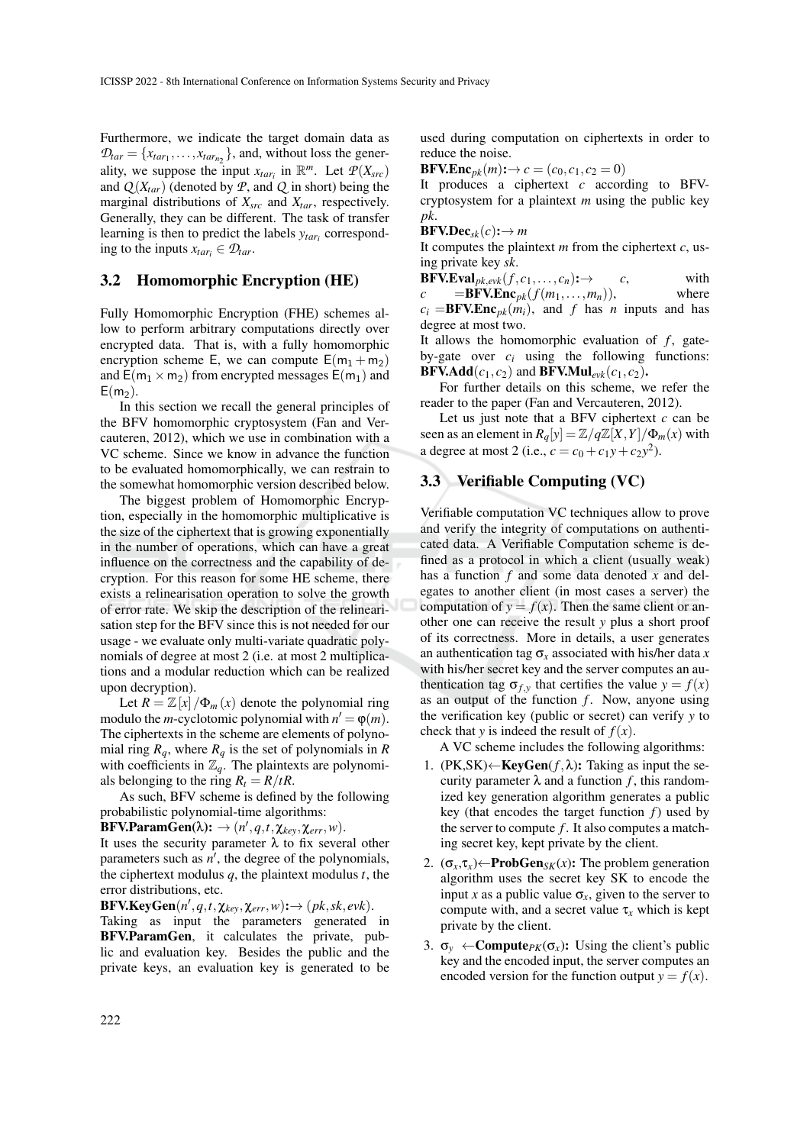Furthermore, we indicate the target domain data as  $\mathcal{D}_{tar} = \{x_{tar_1}, \ldots, x_{tar_{n_2}}\}$ , and, without loss the generality, we suppose the input  $x_{tar_i}$  in  $\mathbb{R}^m$ . Let  $P(X_{src})$ and  $Q(X<sub>tar</sub>)$  (denoted by  $P$ , and  $Q$  in short) being the marginal distributions of *Xsrc* and *Xtar*, respectively. Generally, they can be different. The task of transfer learning is then to predict the labels *ytar<sup>i</sup>* corresponding to the inputs  $x_{tar_i} \in \mathcal{D}_{tar}$ .

## 3.2 Homomorphic Encryption (HE)

Fully Homomorphic Encryption (FHE) schemes allow to perform arbitrary computations directly over encrypted data. That is, with a fully homomorphic encryption scheme E, we can compute  $E(m_1 + m_2)$ and  $E(m_1 \times m_2)$  from encrypted messages  $E(m_1)$  and  $E(m<sub>2</sub>)$ .

In this section we recall the general principles of the BFV homomorphic cryptosystem (Fan and Vercauteren, 2012), which we use in combination with a VC scheme. Since we know in advance the function to be evaluated homomorphically, we can restrain to the somewhat homomorphic version described below.

The biggest problem of Homomorphic Encryption, especially in the homomorphic multiplicative is the size of the ciphertext that is growing exponentially in the number of operations, which can have a great influence on the correctness and the capability of decryption. For this reason for some HE scheme, there exists a relinearisation operation to solve the growth of error rate. We skip the description of the relinearisation step for the BFV since this is not needed for our usage - we evaluate only multi-variate quadratic polynomials of degree at most 2 (i.e. at most 2 multiplications and a modular reduction which can be realized upon decryption).

Let  $R = \mathbb{Z}[x]/\Phi_m(x)$  denote the polynomial ring modulo the *m*-cyclotomic polynomial with  $n' = \varphi(m)$ . The ciphertexts in the scheme are elements of polynomial ring  $R_q$ , where  $R_q$  is the set of polynomials in  $R$ with coefficients in  $\mathbb{Z}_q$ . The plaintexts are polynomials belonging to the ring  $R_t = R/tR$ .

As such, BFV scheme is defined by the following probabilistic polynomial-time algorithms:

 $\textbf{BFV.ParamGen}(\lambda): \rightarrow (n', q, t, \chi_{key}, \chi_{err}, w).$ 

It uses the security parameter  $\lambda$  to fix several other parameters such as  $n'$ , the degree of the polynomials, the ciphertext modulus *q*, the plaintext modulus *t*, the error distributions, etc.

 $BFV.KeyGen(n', q, t, \chi_{key}, \chi_{err}, w): \rightarrow (pk, sk, evk).$ 

Taking as input the parameters generated in BFV.ParamGen, it calculates the private, public and evaluation key. Besides the public and the private keys, an evaluation key is generated to be used during computation on ciphertexts in order to reduce the noise.

 $BFV.Enc_{pk}(m): \to c = (c_0, c_1, c_2 = 0)$ 

It produces a ciphertext *c* according to BFVcryptosystem for a plaintext *m* using the public key *pk*.

 $BFV.Dec_{sk}(c): \rightarrow m$ 

It computes the plaintext *m* from the ciphertext *c*, using private key *sk*.

 $BFV.Eval_{pk,evk}(f, c_1, \ldots, c_n): \rightarrow$  *c*, with  $c = BFV.Enc<sub>pk</sub>(f(m<sub>1</sub>,...,m<sub>n</sub>)),$  where

 $c_i =$ **BFV.Enc**<sub>*pk*</sub> $(m_i)$ , and *f* has *n* inputs and has degree at most two.

It allows the homomorphic evaluation of  $f$ , gateby-gate over  $c_i$  using the following functions: **BFV.Add**( $c_1, c_2$ ) and **BFV.Mul**<sub>evk</sub>( $c_1, c_2$ ).

For further details on this scheme, we refer the reader to the paper (Fan and Vercauteren, 2012).

Let us just note that a BFV ciphertext *c* can be seen as an element in  $R_q[y] = \mathbb{Z}/q\mathbb{Z}[X,Y]/\Phi_m(x)$  with a degree at most 2 (i.e.,  $c = c_0 + c_1y + c_2y^2$ ).

## 3.3 Verifiable Computing (VC)

Verifiable computation VC techniques allow to prove and verify the integrity of computations on authenticated data. A Verifiable Computation scheme is defined as a protocol in which a client (usually weak) has a function *f* and some data denoted *x* and delegates to another client (in most cases a server) the computation of  $y = f(x)$ . Then the same client or another one can receive the result *y* plus a short proof of its correctness. More in details, a user generates an authentication tag  $\sigma_x$  associated with his/her data *x* with his/her secret key and the server computes an authentication tag  $\sigma_{f,y}$  that certifies the value  $y = f(x)$ as an output of the function  $f$ . Now, anyone using the verification key (public or secret) can verify *y* to check that *y* is indeed the result of  $f(x)$ .

A VC scheme includes the following algorithms:

- 1.  $(PK, SK) \leftarrow \text{KeyGen}(f, \lambda)$ : Taking as input the security parameter  $\lambda$  and a function f, this randomized key generation algorithm generates a public key (that encodes the target function *f*) used by the server to compute *f*. It also computes a matching secret key, kept private by the client.
- 2.  $(\sigma_x, \tau_x) \leftarrow \textbf{ProbGen}_{SK}(x)$ : The problem generation algorithm uses the secret key SK to encode the input *x* as a public value  $\sigma_x$ , given to the server to compute with, and a secret value  $\tau_x$  which is kept private by the client.
- 3.  $\sigma_v \leftarrow Compute_{PK}(\sigma_x)$ : Using the client's public key and the encoded input, the server computes an encoded version for the function output  $y = f(x)$ .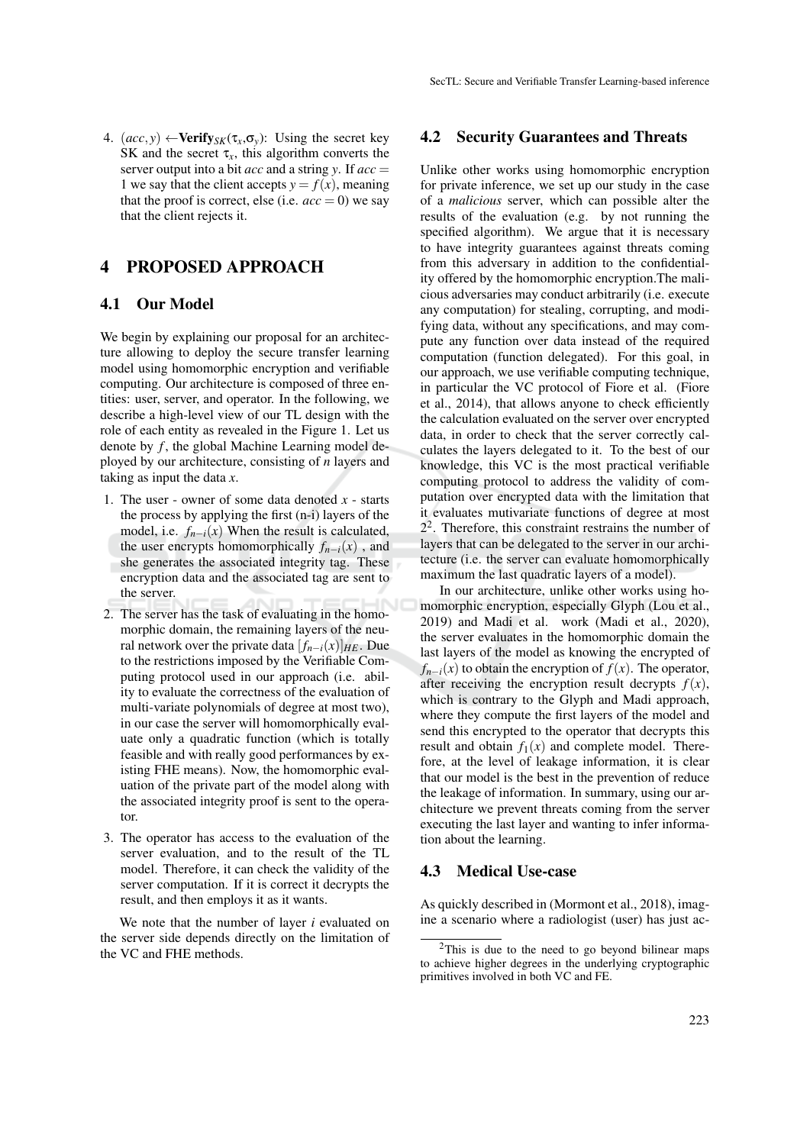4.  $(ac, y) \leftarrow \text{Verify}_{SK}(\tau_x, \sigma_y)$ : Using the secret key SK and the secret  $\tau_x$ , this algorithm converts the server output into a bit *acc* and a string *y*. If *acc* = 1 we say that the client accepts  $y = f(x)$ , meaning that the proof is correct, else (i.e.  $acc = 0$ ) we say that the client rejects it.

## 4 PROPOSED APPROACH

### 4.1 Our Model

We begin by explaining our proposal for an architecture allowing to deploy the secure transfer learning model using homomorphic encryption and verifiable computing. Our architecture is composed of three entities: user, server, and operator. In the following, we describe a high-level view of our TL design with the role of each entity as revealed in the Figure 1. Let us denote by *f*, the global Machine Learning model deployed by our architecture, consisting of *n* layers and taking as input the data *x*.

- 1. The user owner of some data denoted *x* starts the process by applying the first (n-i) layers of the model, i.e.  $f_{n-i}(x)$  When the result is calculated, the user encrypts homomorphically  $f_{n-i}(x)$ , and she generates the associated integrity tag. These encryption data and the associated tag are sent to the server.
- 2. The server has the task of evaluating in the homomorphic domain, the remaining layers of the neural network over the private data  $[f_{n-i}(x)]_{HE}$ . Due to the restrictions imposed by the Verifiable Computing protocol used in our approach (i.e. ability to evaluate the correctness of the evaluation of multi-variate polynomials of degree at most two), in our case the server will homomorphically evaluate only a quadratic function (which is totally feasible and with really good performances by existing FHE means). Now, the homomorphic evaluation of the private part of the model along with the associated integrity proof is sent to the operator.
- 3. The operator has access to the evaluation of the server evaluation, and to the result of the TL model. Therefore, it can check the validity of the server computation. If it is correct it decrypts the result, and then employs it as it wants.

We note that the number of layer *i* evaluated on the server side depends directly on the limitation of the VC and FHE methods.

## 4.2 Security Guarantees and Threats

Unlike other works using homomorphic encryption for private inference, we set up our study in the case of a *malicious* server, which can possible alter the results of the evaluation (e.g. by not running the specified algorithm). We argue that it is necessary to have integrity guarantees against threats coming from this adversary in addition to the confidentiality offered by the homomorphic encryption.The malicious adversaries may conduct arbitrarily (i.e. execute any computation) for stealing, corrupting, and modifying data, without any specifications, and may compute any function over data instead of the required computation (function delegated). For this goal, in our approach, we use verifiable computing technique, in particular the VC protocol of Fiore et al. (Fiore et al., 2014), that allows anyone to check efficiently the calculation evaluated on the server over encrypted data, in order to check that the server correctly calculates the layers delegated to it. To the best of our knowledge, this VC is the most practical verifiable computing protocol to address the validity of computation over encrypted data with the limitation that it evaluates mutivariate functions of degree at most  $2<sup>2</sup>$ . Therefore, this constraint restrains the number of layers that can be delegated to the server in our architecture (i.e. the server can evaluate homomorphically maximum the last quadratic layers of a model).

In our architecture, unlike other works using homomorphic encryption, especially Glyph (Lou et al., 2019) and Madi et al. work (Madi et al., 2020), the server evaluates in the homomorphic domain the last layers of the model as knowing the encrypted of  $f_{n-i}(x)$  to obtain the encryption of  $f(x)$ . The operator, after receiving the encryption result decrypts  $f(x)$ , which is contrary to the Glyph and Madi approach, where they compute the first layers of the model and send this encrypted to the operator that decrypts this result and obtain  $f_1(x)$  and complete model. Therefore, at the level of leakage information, it is clear that our model is the best in the prevention of reduce the leakage of information. In summary, using our architecture we prevent threats coming from the server executing the last layer and wanting to infer information about the learning.

#### 4.3 Medical Use-case

As quickly described in (Mormont et al., 2018), imagine a scenario where a radiologist (user) has just ac-

 $2$ This is due to the need to go beyond bilinear maps to achieve higher degrees in the underlying cryptographic primitives involved in both VC and FE.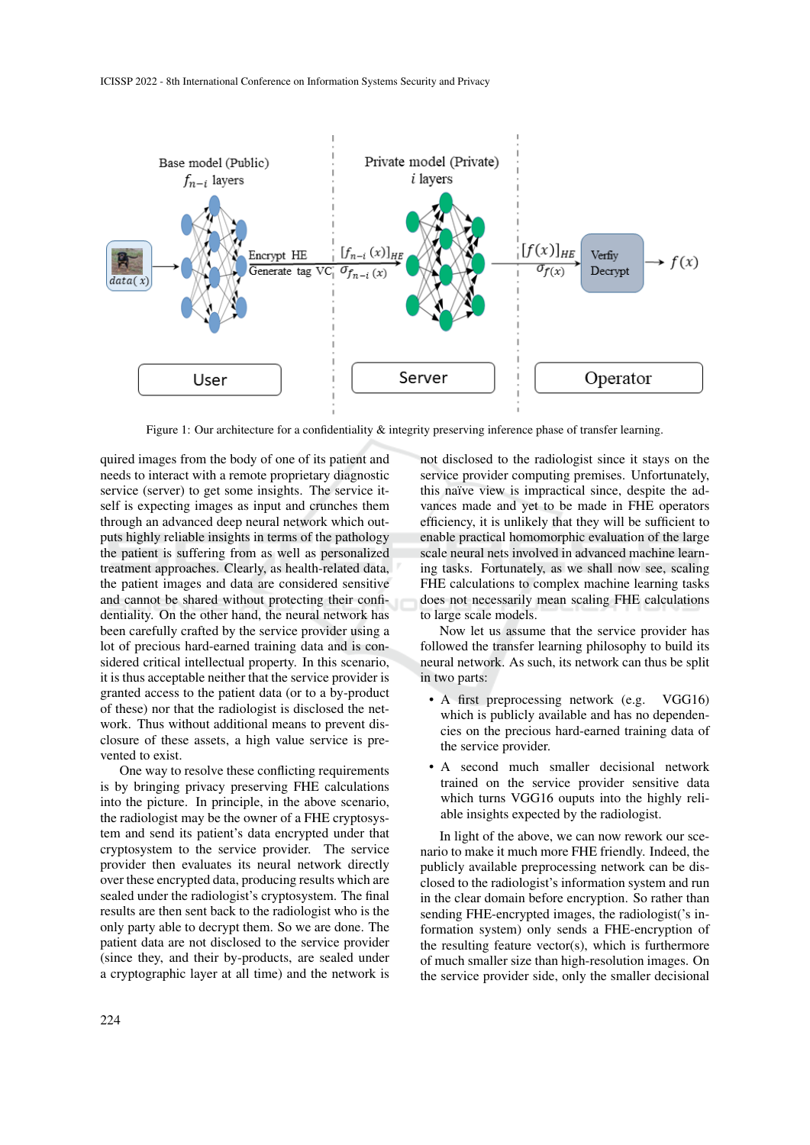

Figure 1: Our architecture for a confidentiality & integrity preserving inference phase of transfer learning.

quired images from the body of one of its patient and needs to interact with a remote proprietary diagnostic service (server) to get some insights. The service itself is expecting images as input and crunches them through an advanced deep neural network which outputs highly reliable insights in terms of the pathology the patient is suffering from as well as personalized treatment approaches. Clearly, as health-related data, the patient images and data are considered sensitive and cannot be shared without protecting their confidentiality. On the other hand, the neural network has been carefully crafted by the service provider using a lot of precious hard-earned training data and is considered critical intellectual property. In this scenario, it is thus acceptable neither that the service provider is granted access to the patient data (or to a by-product of these) nor that the radiologist is disclosed the network. Thus without additional means to prevent disclosure of these assets, a high value service is prevented to exist.

One way to resolve these conflicting requirements is by bringing privacy preserving FHE calculations into the picture. In principle, in the above scenario, the radiologist may be the owner of a FHE cryptosystem and send its patient's data encrypted under that cryptosystem to the service provider. The service provider then evaluates its neural network directly over these encrypted data, producing results which are sealed under the radiologist's cryptosystem. The final results are then sent back to the radiologist who is the only party able to decrypt them. So we are done. The patient data are not disclosed to the service provider (since they, and their by-products, are sealed under a cryptographic layer at all time) and the network is not disclosed to the radiologist since it stays on the service provider computing premises. Unfortunately, this naïve view is impractical since, despite the advances made and yet to be made in FHE operators efficiency, it is unlikely that they will be sufficient to enable practical homomorphic evaluation of the large scale neural nets involved in advanced machine learning tasks. Fortunately, as we shall now see, scaling FHE calculations to complex machine learning tasks does not necessarily mean scaling FHE calculations to large scale models.

Now let us assume that the service provider has followed the transfer learning philosophy to build its neural network. As such, its network can thus be split in two parts:

- A first preprocessing network (e.g. VGG16) which is publicly available and has no dependencies on the precious hard-earned training data of the service provider.
- A second much smaller decisional network trained on the service provider sensitive data which turns VGG16 ouputs into the highly reliable insights expected by the radiologist.

In light of the above, we can now rework our scenario to make it much more FHE friendly. Indeed, the publicly available preprocessing network can be disclosed to the radiologist's information system and run in the clear domain before encryption. So rather than sending FHE-encrypted images, the radiologist('s information system) only sends a FHE-encryption of the resulting feature vector(s), which is furthermore of much smaller size than high-resolution images. On the service provider side, only the smaller decisional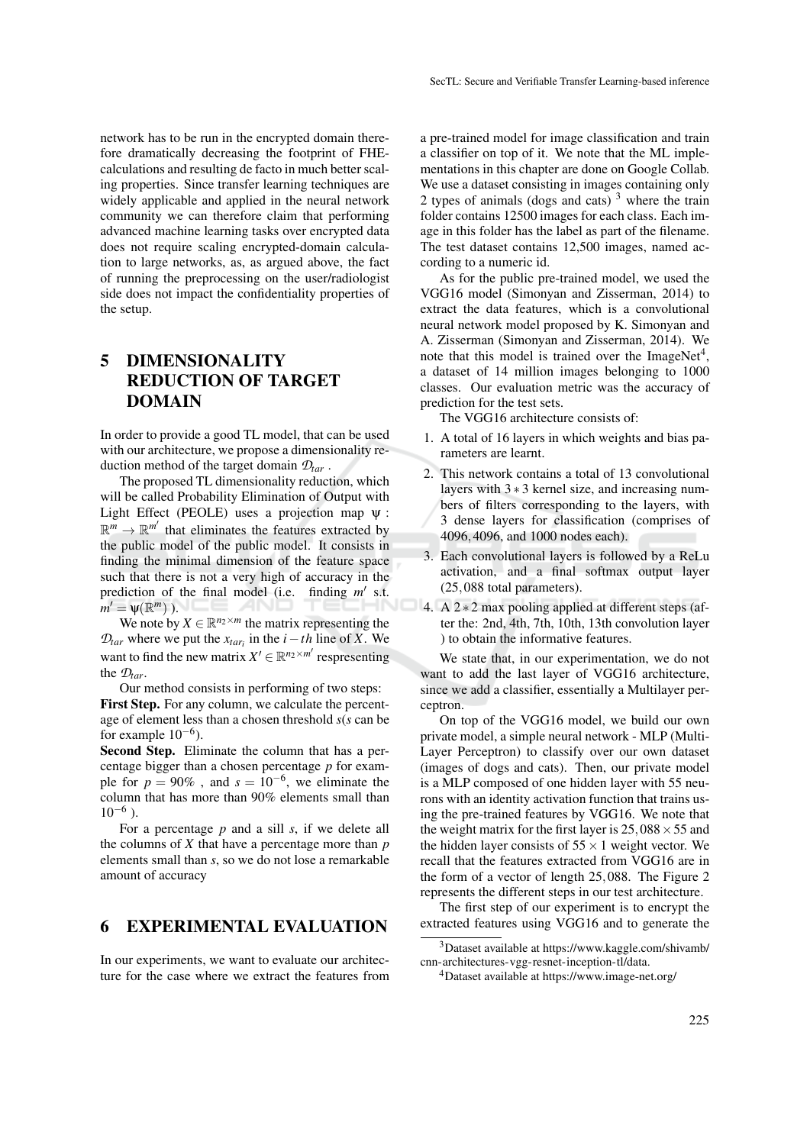network has to be run in the encrypted domain therefore dramatically decreasing the footprint of FHEcalculations and resulting de facto in much better scaling properties. Since transfer learning techniques are widely applicable and applied in the neural network community we can therefore claim that performing advanced machine learning tasks over encrypted data does not require scaling encrypted-domain calculation to large networks, as, as argued above, the fact of running the preprocessing on the user/radiologist side does not impact the confidentiality properties of the setup.

# 5 DIMENSIONALITY REDUCTION OF TARGET DOMAIN

In order to provide a good TL model, that can be used with our architecture, we propose a dimensionality reduction method of the target domain *Dtar* .

The proposed TL dimensionality reduction, which will be called Probability Elimination of Output with Light Effect (PEOLE) uses a projection map ψ :  $\mathbb{R}^m \to \mathbb{R}^{m'}$  that eliminates the features extracted by the public model of the public model. It consists in finding the minimal dimension of the feature space such that there is not a very high of accuracy in the prediction of the final model (i.e. finding  $m'$  s.t.  $m' = \psi(\mathbb{R}^m)$ ).

We note by  $X \in \mathbb{R}^{n_2 \times m}$  the matrix representing the  $\mathcal{D}_{tar}$  where we put the  $x_{tar_i}$  in the *i*−*th* line of *X*. We want to find the new matrix  $X' \in \mathbb{R}^{n_2 \times m'}$  respresenting the *Dtar*.

Our method consists in performing of two steps: First Step. For any column, we calculate the percentage of element less than a chosen threshold *s*(*s* can be for example  $10^{-6}$ ).

Second Step. Eliminate the column that has a percentage bigger than a chosen percentage *p* for example for  $p = 90\%$ , and  $s = 10^{-6}$ , we eliminate the column that has more than 90% elements small than  $10^{-6}$ ).

For a percentage *p* and a sill *s*, if we delete all the columns of *X* that have a percentage more than *p* elements small than *s*, so we do not lose a remarkable amount of accuracy

## 6 EXPERIMENTAL EVALUATION

In our experiments, we want to evaluate our architecture for the case where we extract the features from

a pre-trained model for image classification and train a classifier on top of it. We note that the ML implementations in this chapter are done on Google Collab. We use a dataset consisting in images containing only 2 types of animals (dogs and cats)  $3$  where the train folder contains 12500 images for each class. Each image in this folder has the label as part of the filename. The test dataset contains 12,500 images, named according to a numeric id.

As for the public pre-trained model, we used the VGG16 model (Simonyan and Zisserman, 2014) to extract the data features, which is a convolutional neural network model proposed by K. Simonyan and A. Zisserman (Simonyan and Zisserman, 2014). We note that this model is trained over the ImageNet<sup>4</sup>, a dataset of 14 million images belonging to 1000 classes. Our evaluation metric was the accuracy of prediction for the test sets.

The VGG16 architecture consists of:

- 1. A total of 16 layers in which weights and bias parameters are learnt.
- 2. This network contains a total of 13 convolutional layers with 3 ∗ 3 kernel size, and increasing numbers of filters corresponding to the layers, with 3 dense layers for classification (comprises of 4096,4096, and 1000 nodes each).
- 3. Each convolutional layers is followed by a ReLu activation, and a final softmax output layer (25,088 total parameters).
- 4. A  $2 \times 2$  max pooling applied at different steps (after the: 2nd, 4th, 7th, 10th, 13th convolution layer ) to obtain the informative features.

We state that, in our experimentation, we do not want to add the last layer of VGG16 architecture, since we add a classifier, essentially a Multilayer perceptron.

On top of the VGG16 model, we build our own private model, a simple neural network - MLP (Multi-Layer Perceptron) to classify over our own dataset (images of dogs and cats). Then, our private model is a MLP composed of one hidden layer with 55 neurons with an identity activation function that trains using the pre-trained features by VGG16. We note that the weight matrix for the first layer is  $25,088 \times 55$  and the hidden layer consists of  $55 \times 1$  weight vector. We recall that the features extracted from VGG16 are in the form of a vector of length 25,088. The Figure 2 represents the different steps in our test architecture.

The first step of our experiment is to encrypt the extracted features using VGG16 and to generate the

<sup>3</sup>Dataset available at https://www.kaggle.com/shivamb/ cnn-architectures-vgg-resnet-inception-tl/data.

<sup>4</sup>Dataset available at https://www.image-net.org/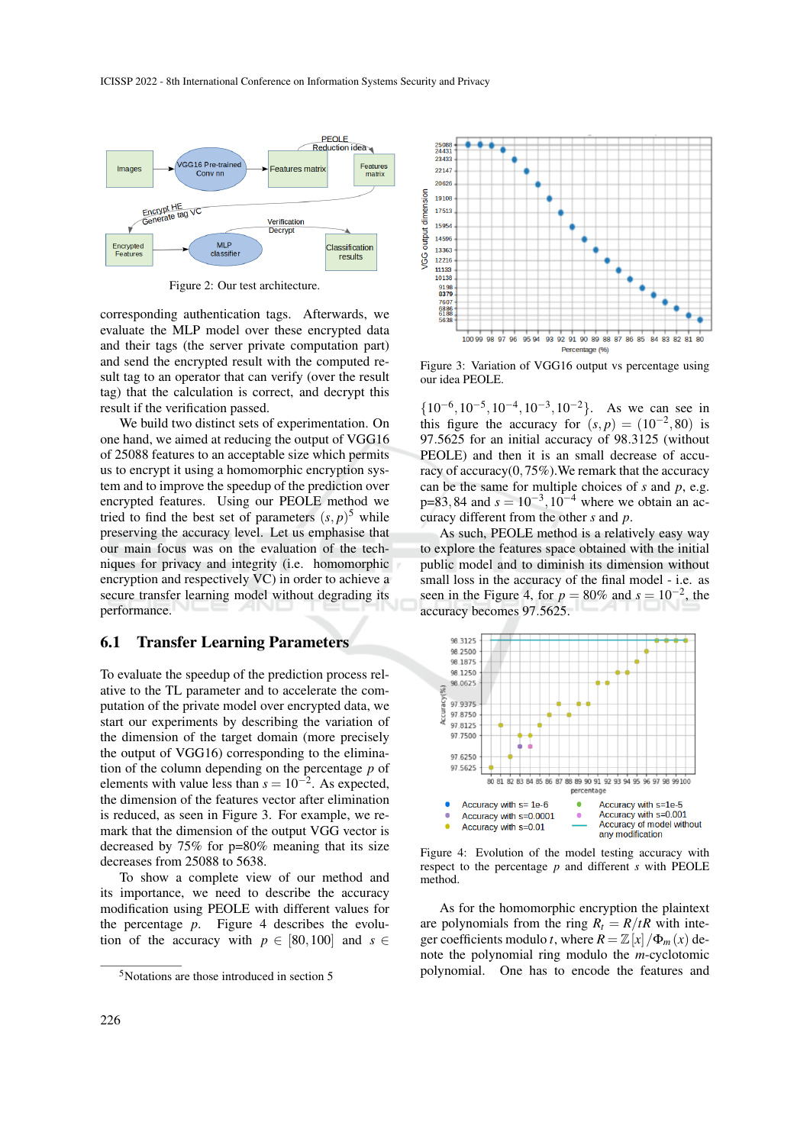

Figure 2: Our test architecture.

corresponding authentication tags. Afterwards, we evaluate the MLP model over these encrypted data and their tags (the server private computation part) and send the encrypted result with the computed result tag to an operator that can verify (over the result tag) that the calculation is correct, and decrypt this result if the verification passed.

We build two distinct sets of experimentation. On one hand, we aimed at reducing the output of VGG16 of 25088 features to an acceptable size which permits us to encrypt it using a homomorphic encryption system and to improve the speedup of the prediction over encrypted features. Using our PEOLE method we tried to find the best set of parameters  $(s, p)^5$  while preserving the accuracy level. Let us emphasise that our main focus was on the evaluation of the techniques for privacy and integrity (i.e. homomorphic encryption and respectively VC) in order to achieve a secure transfer learning model without degrading its performance.

### 6.1 Transfer Learning Parameters

To evaluate the speedup of the prediction process relative to the TL parameter and to accelerate the computation of the private model over encrypted data, we start our experiments by describing the variation of the dimension of the target domain (more precisely the output of VGG16) corresponding to the elimination of the column depending on the percentage *p* of elements with value less than  $s = 10^{-2}$ . As expected, the dimension of the features vector after elimination is reduced, as seen in Figure 3. For example, we remark that the dimension of the output VGG vector is decreased by 75% for p=80% meaning that its size decreases from 25088 to 5638.

To show a complete view of our method and its importance, we need to describe the accuracy modification using PEOLE with different values for the percentage *p*. Figure 4 describes the evolution of the accuracy with  $p \in [80, 100]$  and  $s \in$ 



Figure 3: Variation of VGG16 output vs percentage using our idea PEOLE.

 $\{10^{-6}, 10^{-5}, 10^{-4}, 10^{-3}, 10^{-2}\}.$  As we can see in this figure the accuracy for  $(s, p) = (10^{-2}, 80)$  is 97.5625 for an initial accuracy of 98.3125 (without PEOLE) and then it is an small decrease of accuracy of accuracy(0,75%).We remark that the accuracy can be the same for multiple choices of *s* and *p*, e.g.  $p=83,84$  and  $s=10^{-3},10^{-4}$  where we obtain an accuracy different from the other *s* and *p*.

As such, PEOLE method is a relatively easy way to explore the features space obtained with the initial public model and to diminish its dimension without small loss in the accuracy of the final model - i.e. as seen in the Figure 4, for  $p = 80\%$  and  $s = 10^{-2}$ , the accuracy becomes 97.5625.



Figure 4: Evolution of the model testing accuracy with respect to the percentage *p* and different *s* with PEOLE method.

As for the homomorphic encryption the plaintext are polynomials from the ring  $R_t = R/tR$  with integer coefficients modulo *t*, where  $R = \mathbb{Z}[x]/\Phi_m(x)$  denote the polynomial ring modulo the *m*-cyclotomic polynomial. One has to encode the features and

 $5$ Notations are those introduced in section 5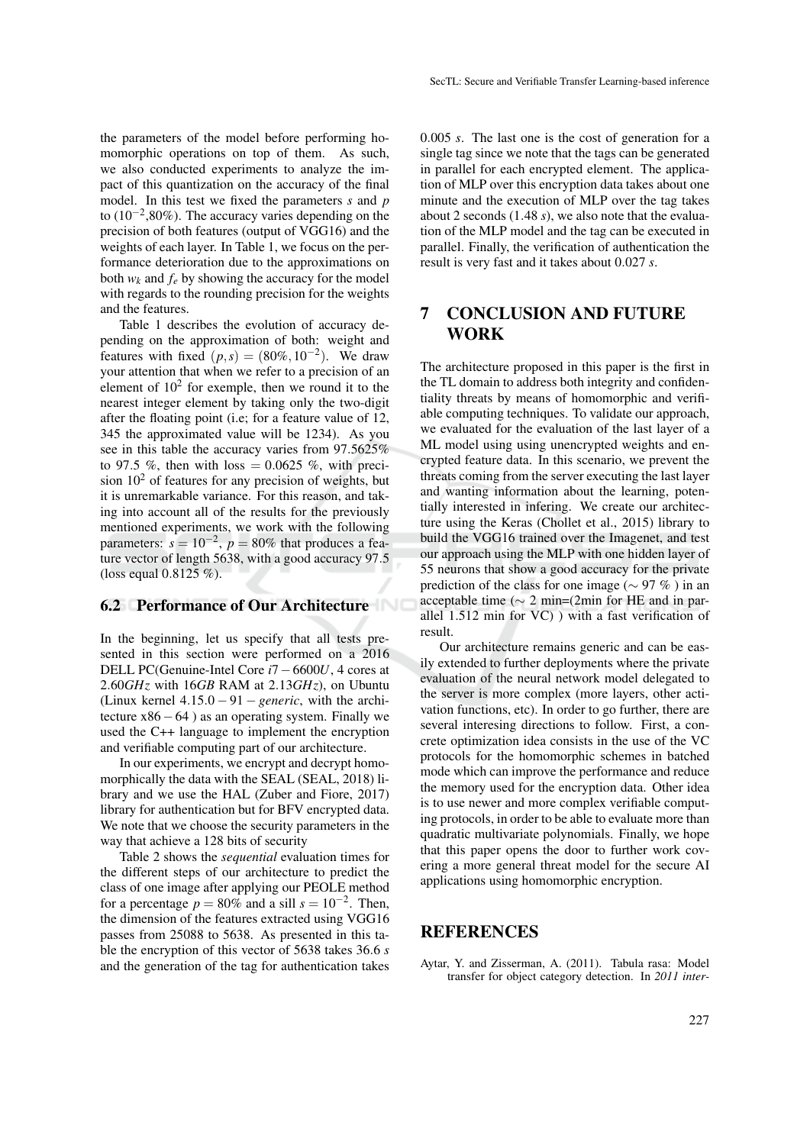the parameters of the model before performing homomorphic operations on top of them. As such, we also conducted experiments to analyze the impact of this quantization on the accuracy of the final model. In this test we fixed the parameters *s* and *p* to (10−<sup>2</sup> ,80%). The accuracy varies depending on the precision of both features (output of VGG16) and the weights of each layer. In Table 1, we focus on the performance deterioration due to the approximations on both  $w_k$  and  $f_e$  by showing the accuracy for the model with regards to the rounding precision for the weights and the features.

Table 1 describes the evolution of accuracy depending on the approximation of both: weight and features with fixed  $(p, s) = (80\%, 10^{-2})$ . We draw your attention that when we refer to a precision of an element of  $10<sup>2</sup>$  for exemple, then we round it to the nearest integer element by taking only the two-digit after the floating point (i.e; for a feature value of 12, 345 the approximated value will be 1234). As you see in this table the accuracy varies from 97.5625% to 97.5 %, then with loss  $= 0.0625$  %, with precision  $10<sup>2</sup>$  of features for any precision of weights, but it is unremarkable variance. For this reason, and taking into account all of the results for the previously mentioned experiments, we work with the following parameters:  $s = 10^{-2}$ ,  $p = 80\%$  that produces a feature vector of length 5638, with a good accuracy 97.5 (loss equal 0.8125 %).

## 6.2 Performance of Our Architecture

In the beginning, let us specify that all tests presented in this section were performed on a 2016 DELL PC(Genuine-Intel Core *i*7−6600*U*, 4 cores at 2.60*GHz* with 16*GB* RAM at 2.13*GHz*), on Ubuntu (Linux kernel 4.15.0 − 91 − *generic*, with the architecture  $x86-64$  ) as an operating system. Finally we used the C++ language to implement the encryption and verifiable computing part of our architecture.

In our experiments, we encrypt and decrypt homomorphically the data with the SEAL (SEAL, 2018) library and we use the HAL (Zuber and Fiore, 2017) library for authentication but for BFV encrypted data. We note that we choose the security parameters in the way that achieve a 128 bits of security

Table 2 shows the *sequential* evaluation times for the different steps of our architecture to predict the class of one image after applying our PEOLE method for a percentage  $p = 80\%$  and a sill  $s = 10^{-2}$ . Then, the dimension of the features extracted using VGG16 passes from 25088 to 5638. As presented in this table the encryption of this vector of 5638 takes 36.6 *s* and the generation of the tag for authentication takes 0.005 *s*. The last one is the cost of generation for a single tag since we note that the tags can be generated in parallel for each encrypted element. The application of MLP over this encryption data takes about one minute and the execution of MLP over the tag takes about 2 seconds (1.48 *s*), we also note that the evaluation of the MLP model and the tag can be executed in parallel. Finally, the verification of authentication the result is very fast and it takes about 0.027 *s*.

# 7 CONCLUSION AND FUTURE WORK

The architecture proposed in this paper is the first in the TL domain to address both integrity and confidentiality threats by means of homomorphic and verifiable computing techniques. To validate our approach, we evaluated for the evaluation of the last layer of a ML model using using unencrypted weights and encrypted feature data. In this scenario, we prevent the threats coming from the server executing the last layer and wanting information about the learning, potentially interested in infering. We create our architecture using the Keras (Chollet et al., 2015) library to build the VGG16 trained over the Imagenet, and test our approach using the MLP with one hidden layer of 55 neurons that show a good accuracy for the private prediction of the class for one image ( $\sim$  97 %) in an acceptable time (∼ 2 min=(2min for HE and in parallel 1.512 min for VC) ) with a fast verification of result.

Our architecture remains generic and can be easily extended to further deployments where the private evaluation of the neural network model delegated to the server is more complex (more layers, other activation functions, etc). In order to go further, there are several interesing directions to follow. First, a concrete optimization idea consists in the use of the VC protocols for the homomorphic schemes in batched mode which can improve the performance and reduce the memory used for the encryption data. Other idea is to use newer and more complex verifiable computing protocols, in order to be able to evaluate more than quadratic multivariate polynomials. Finally, we hope that this paper opens the door to further work covering a more general threat model for the secure AI applications using homomorphic encryption.

## **REFERENCES**

Aytar, Y. and Zisserman, A. (2011). Tabula rasa: Model transfer for object category detection. In *2011 inter-*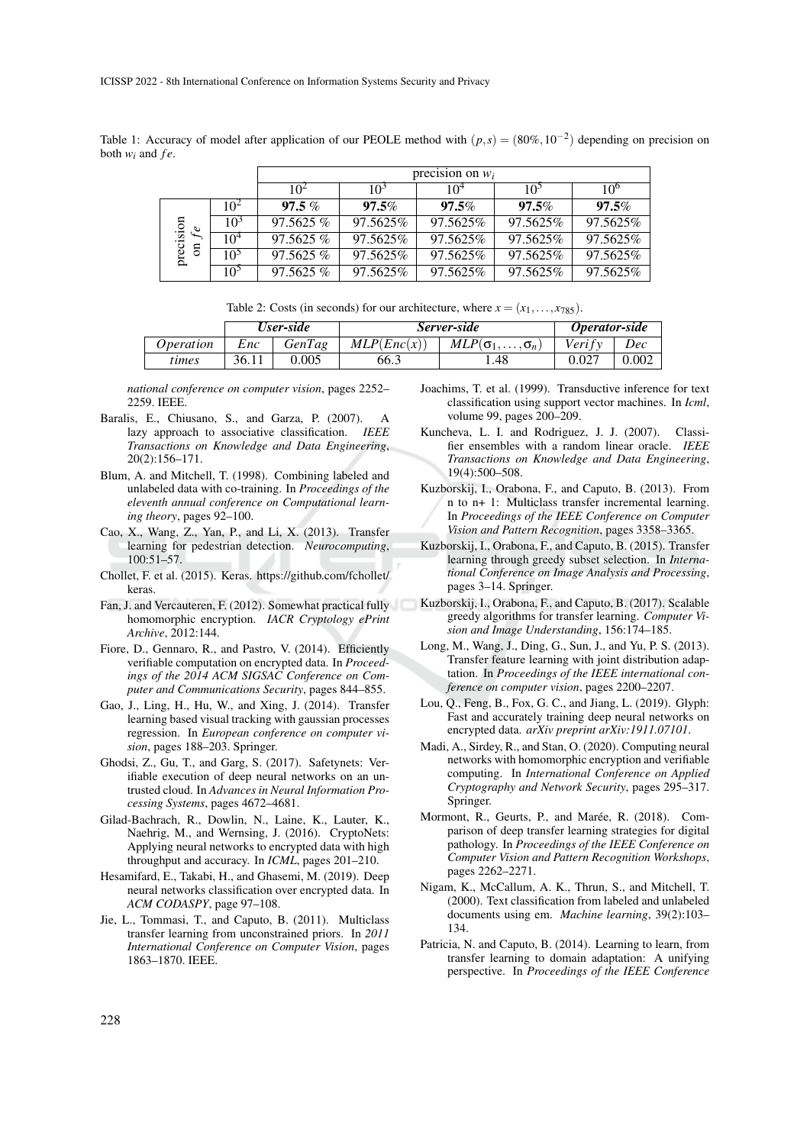Table 1: Accuracy of model after application of our PEOLE method with  $(p, s) = (80\%, 10^{-2})$  depending on precision on both  $w_i$  and  $fe$ .

|                                      |                 | precision on $w_i$ |          |                 |                 |                 |  |  |
|--------------------------------------|-----------------|--------------------|----------|-----------------|-----------------|-----------------|--|--|
|                                      |                 | $10^{2}$           | $10^3$   | 10 <sup>4</sup> | 10 <sup>5</sup> | 10 <sup>o</sup> |  |  |
| precision<br>$f$ e<br>$\overline{5}$ | $10^2$          | $97.5\%$           | $97.5\%$ | $97.5\%$        | $97.5\%$        | $97.5\%$        |  |  |
|                                      | 10 <sup>3</sup> | 97.5625%           | 97.5625% | 97.5625%        | 97.5625%        | 97.5625%        |  |  |
|                                      | $10^{4}$        | 97.5625%           | 97.5625% | 97.5625%        | 97.5625%        | 97.5625%        |  |  |
|                                      | 10 <sup>5</sup> | 97.5625%           | 97.5625% | 97.5625%        | 97.5625%        | 97.5625%        |  |  |
|                                      | 10 <sup>5</sup> | $97.5625\%$        | 97.5625% | 97.5625%        | 97.5625%        | 97.5625%        |  |  |

| Table 2: Costs (in seconds) for our architecture, where $x = (x_1, \ldots, x_{785})$ . |  |
|----------------------------------------------------------------------------------------|--|
|----------------------------------------------------------------------------------------|--|

|                  | User-side |        | Server-side | Operator-side                   |          |       |
|------------------|-----------|--------|-------------|---------------------------------|----------|-------|
| <i>Operation</i> | Enc       | GenTag | MLP(Enc(x)) | $MLP(\sigma_1,\ldots,\sigma_n)$ | Veri f v | Dec   |
| times            | 36.11     | 0.005  | 66.3        | 1.48                            |          | 0.002 |

*national conference on computer vision*, pages 2252– 2259. IEEE.

- Baralis, E., Chiusano, S., and Garza, P. (2007). A lazy approach to associative classification. *IEEE Transactions on Knowledge and Data Engineering*, 20(2):156–171.
- Blum, A. and Mitchell, T. (1998). Combining labeled and unlabeled data with co-training. In *Proceedings of the eleventh annual conference on Computational learning theory*, pages 92–100.
- Cao, X., Wang, Z., Yan, P., and Li, X. (2013). Transfer learning for pedestrian detection. *Neurocomputing*, 100:51–57.
- Chollet, F. et al. (2015). Keras. https://github.com/fchollet/ keras.
- Fan, J. and Vercauteren, F. (2012). Somewhat practical fully homomorphic encryption. *IACR Cryptology ePrint Archive*, 2012:144.
- Fiore, D., Gennaro, R., and Pastro, V. (2014). Efficiently verifiable computation on encrypted data. In *Proceedings of the 2014 ACM SIGSAC Conference on Computer and Communications Security*, pages 844–855.
- Gao, J., Ling, H., Hu, W., and Xing, J. (2014). Transfer learning based visual tracking with gaussian processes regression. In *European conference on computer vision*, pages 188–203. Springer.
- Ghodsi, Z., Gu, T., and Garg, S. (2017). Safetynets: Verifiable execution of deep neural networks on an untrusted cloud. In *Advances in Neural Information Processing Systems*, pages 4672–4681.
- Gilad-Bachrach, R., Dowlin, N., Laine, K., Lauter, K., Naehrig, M., and Wernsing, J. (2016). CryptoNets: Applying neural networks to encrypted data with high throughput and accuracy. In *ICML*, pages 201–210.
- Hesamifard, E., Takabi, H., and Ghasemi, M. (2019). Deep neural networks classification over encrypted data. In *ACM CODASPY*, page 97–108.
- Jie, L., Tommasi, T., and Caputo, B. (2011). Multiclass transfer learning from unconstrained priors. In *2011 International Conference on Computer Vision*, pages 1863–1870. IEEE.
- Joachims, T. et al. (1999). Transductive inference for text classification using support vector machines. In *Icml*, volume 99, pages 200–209.
- Kuncheva, L. I. and Rodriguez, J. J. (2007). Classifier ensembles with a random linear oracle. *IEEE Transactions on Knowledge and Data Engineering*, 19(4):500–508.
- Kuzborskij, I., Orabona, F., and Caputo, B. (2013). From n to n+ 1: Multiclass transfer incremental learning. In *Proceedings of the IEEE Conference on Computer Vision and Pattern Recognition*, pages 3358–3365.
- Kuzborskij, I., Orabona, F., and Caputo, B. (2015). Transfer learning through greedy subset selection. In *International Conference on Image Analysis and Processing*, pages 3–14. Springer.
- Kuzborskij, I., Orabona, F., and Caputo, B. (2017). Scalable greedy algorithms for transfer learning. *Computer Vision and Image Understanding*, 156:174–185.
- Long, M., Wang, J., Ding, G., Sun, J., and Yu, P. S. (2013). Transfer feature learning with joint distribution adaptation. In *Proceedings of the IEEE international conference on computer vision*, pages 2200–2207.
- Lou, Q., Feng, B., Fox, G. C., and Jiang, L. (2019). Glyph: Fast and accurately training deep neural networks on encrypted data. *arXiv preprint arXiv:1911.07101*.
- Madi, A., Sirdey, R., and Stan, O. (2020). Computing neural networks with homomorphic encryption and verifiable computing. In *International Conference on Applied Cryptography and Network Security*, pages 295–317. Springer.
- Mormont, R., Geurts, P., and Marée, R. (2018). Comparison of deep transfer learning strategies for digital pathology. In *Proceedings of the IEEE Conference on Computer Vision and Pattern Recognition Workshops*, pages 2262–2271.
- Nigam, K., McCallum, A. K., Thrun, S., and Mitchell, T. (2000). Text classification from labeled and unlabeled documents using em. *Machine learning*, 39(2):103– 134.
- Patricia, N. and Caputo, B. (2014). Learning to learn, from transfer learning to domain adaptation: A unifying perspective. In *Proceedings of the IEEE Conference*